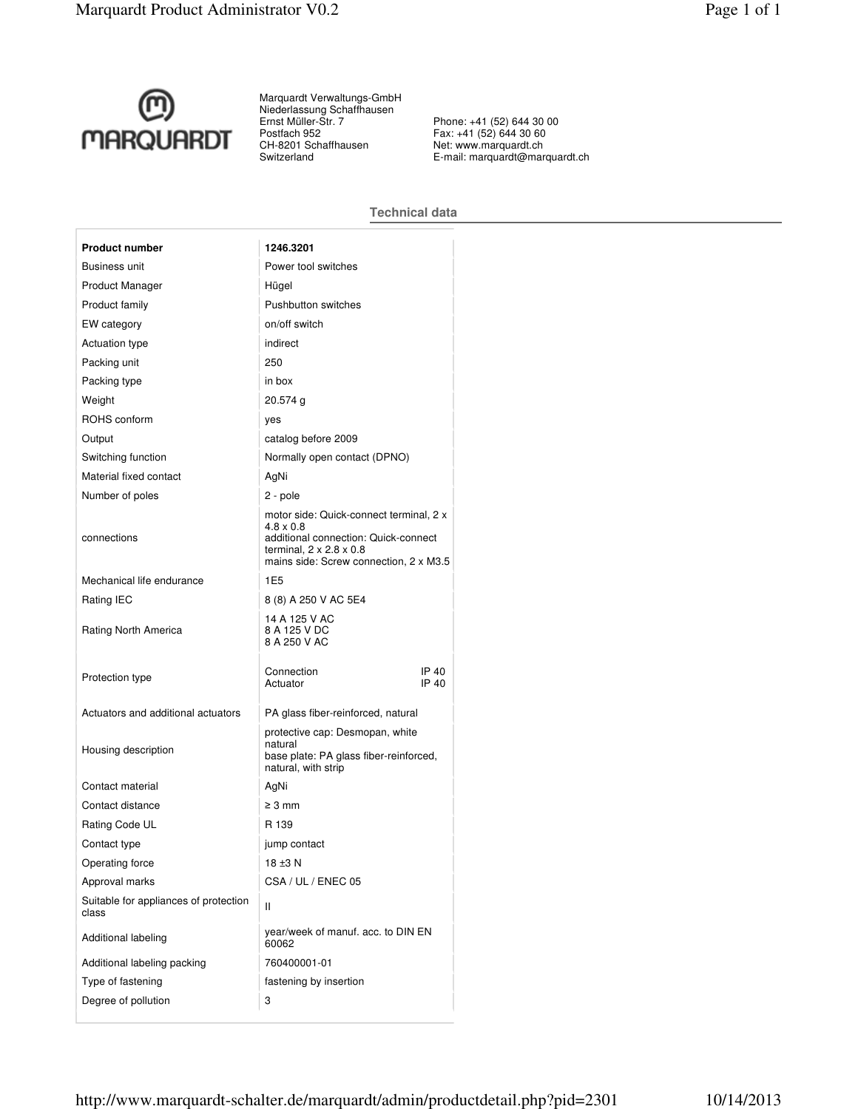

Marquardt Verwaltungs-GmbH Niederlassung Schaffhausen Ernst Müller-Str. 7 Postfach 952 CH-8201 Schaffhausen Switzerland

Phone: +41 (52) 644 30 00 Fax: +41 (52) 644 30 60 Net: www.marquardt.ch E-mail: marquardt@marquardt.ch

## **Technical data**

| <b>Product number</b>                          | 1246.3201                                                                                                                                                                            |
|------------------------------------------------|--------------------------------------------------------------------------------------------------------------------------------------------------------------------------------------|
| <b>Business unit</b>                           | Power tool switches                                                                                                                                                                  |
| Product Manager                                | Hügel                                                                                                                                                                                |
| Product family                                 | Pushbutton switches                                                                                                                                                                  |
| EW category                                    | on/off switch                                                                                                                                                                        |
| <b>Actuation type</b>                          | indirect                                                                                                                                                                             |
| Packing unit                                   | 250                                                                                                                                                                                  |
| Packing type                                   | in box                                                                                                                                                                               |
| Weight                                         | $20.574$ g                                                                                                                                                                           |
| ROHS conform                                   | yes                                                                                                                                                                                  |
| Output                                         | catalog before 2009                                                                                                                                                                  |
| Switching function                             | Normally open contact (DPNO)                                                                                                                                                         |
| Material fixed contact                         | AgNi                                                                                                                                                                                 |
| Number of poles                                | 2 - pole                                                                                                                                                                             |
| connections                                    | motor side: Quick-connect terminal, 2 x<br>$4.8 \times 0.8$<br>additional connection: Quick-connect<br>terminal, $2 \times 2.8 \times 0.8$<br>mains side: Screw connection, 2 x M3.5 |
| Mechanical life endurance                      | 1E <sub>5</sub>                                                                                                                                                                      |
| Rating IEC                                     | 8 (8) A 250 V AC 5E4                                                                                                                                                                 |
| Rating North America                           | 14 A 125 V AC<br>8 A 125 V DC<br>8 A 250 V AC                                                                                                                                        |
| Protection type                                | Connection<br>IP 40<br>IP 40<br>Actuator                                                                                                                                             |
| Actuators and additional actuators             | PA glass fiber-reinforced, natural                                                                                                                                                   |
| Housing description                            | protective cap: Desmopan, white<br>natural<br>base plate: PA glass fiber-reinforced,<br>natural, with strip                                                                          |
| Contact material                               | AgNi                                                                                                                                                                                 |
| Contact distance                               | $\geq 3$ mm                                                                                                                                                                          |
| Rating Code UL                                 | R 139                                                                                                                                                                                |
| Contact type                                   | jump contact                                                                                                                                                                         |
| Operating force                                | 18 ±3 N                                                                                                                                                                              |
| Approval marks                                 | CSA / UL / ENEC 05                                                                                                                                                                   |
| Suitable for appliances of protection<br>class | Ш                                                                                                                                                                                    |
| Additional labeling                            | year/week of manuf. acc. to DIN EN<br>60062                                                                                                                                          |
| Additional labeling packing                    | 760400001-01                                                                                                                                                                         |
| Type of fastening                              | fastening by insertion                                                                                                                                                               |
| Degree of pollution                            | 3                                                                                                                                                                                    |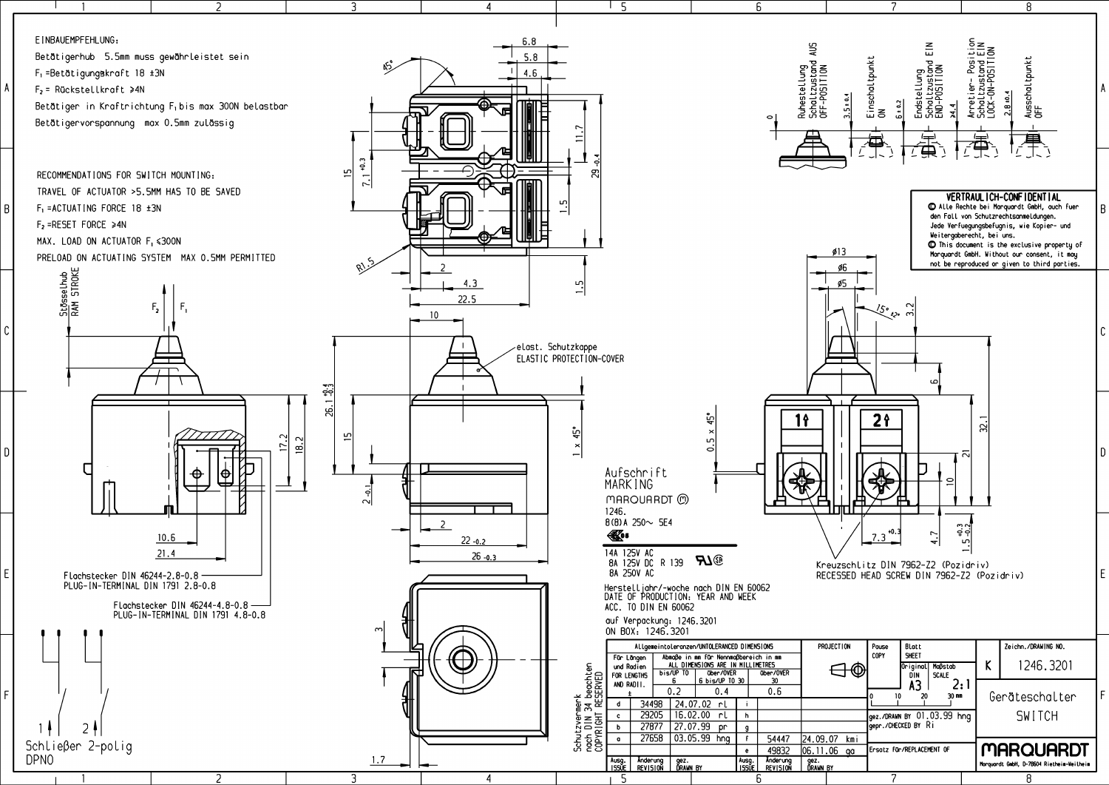